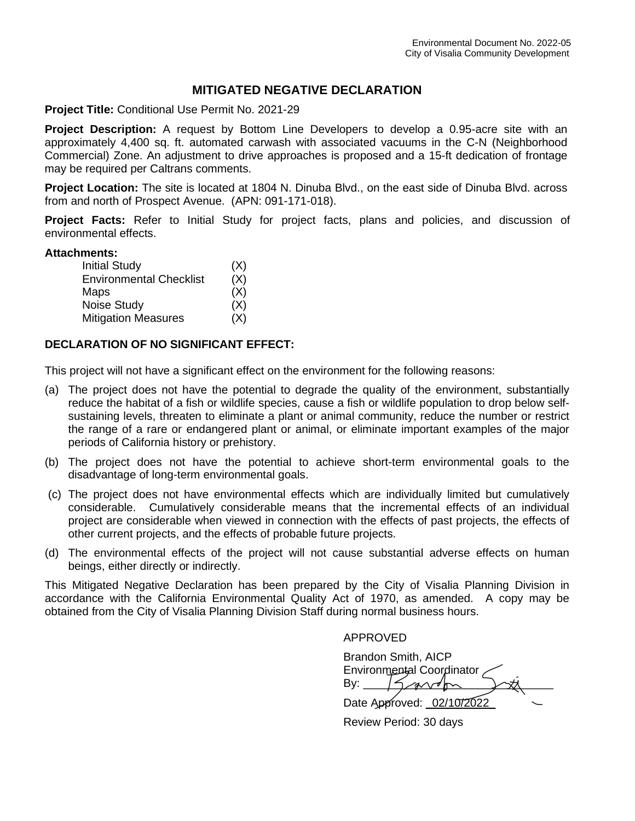# **MITIGATED NEGATIVE DECLARATION**

**Project Title:** Conditional Use Permit No. 2021-29

**Project Description:** A request by Bottom Line Developers to develop a 0.95-acre site with an approximately 4,400 sq. ft. automated carwash with associated vacuums in the C-N (Neighborhood Commercial) Zone. An adjustment to drive approaches is proposed and a 15-ft dedication of frontage may be required per Caltrans comments.

**Project Location:** The site is located at 1804 N. Dinuba Blvd., on the east side of Dinuba Blvd. across from and north of Prospect Avenue. (APN: 091-171-018).

**Project Facts:** Refer to Initial Study for project facts, plans and policies, and discussion of environmental effects.

# **Attachments:**

| <b>Initial Study</b>           | (X) |
|--------------------------------|-----|
| <b>Environmental Checklist</b> | (X) |
| Maps                           | (X) |
| <b>Noise Study</b>             | (X) |
| <b>Mitigation Measures</b>     | (X) |

# **DECLARATION OF NO SIGNIFICANT EFFECT:**

This project will not have a significant effect on the environment for the following reasons:

- (a) The project does not have the potential to degrade the quality of the environment, substantially reduce the habitat of a fish or wildlife species, cause a fish or wildlife population to drop below selfsustaining levels, threaten to eliminate a plant or animal community, reduce the number or restrict the range of a rare or endangered plant or animal, or eliminate important examples of the major periods of California history or prehistory.
- (b) The project does not have the potential to achieve short-term environmental goals to the disadvantage of long-term environmental goals.
- (c) The project does not have environmental effects which are individually limited but cumulatively considerable. Cumulatively considerable means that the incremental effects of an individual project are considerable when viewed in connection with the effects of past projects, the effects of other current projects, and the effects of probable future projects.
- (d) The environmental effects of the project will not cause substantial adverse effects on human beings, either directly or indirectly.

This Mitigated Negative Declaration has been prepared by the City of Visalia Planning Division in accordance with the California Environmental Quality Act of 1970, as amended. A copy may be obtained from the City of Visalia Planning Division Staff during normal business hours.

APPROVED

 Brandon Smith, AICP Environmental Coordinator By:  $15$  and  $m$ Date Approved: \_02/10/2022\_

Review Period: 30 days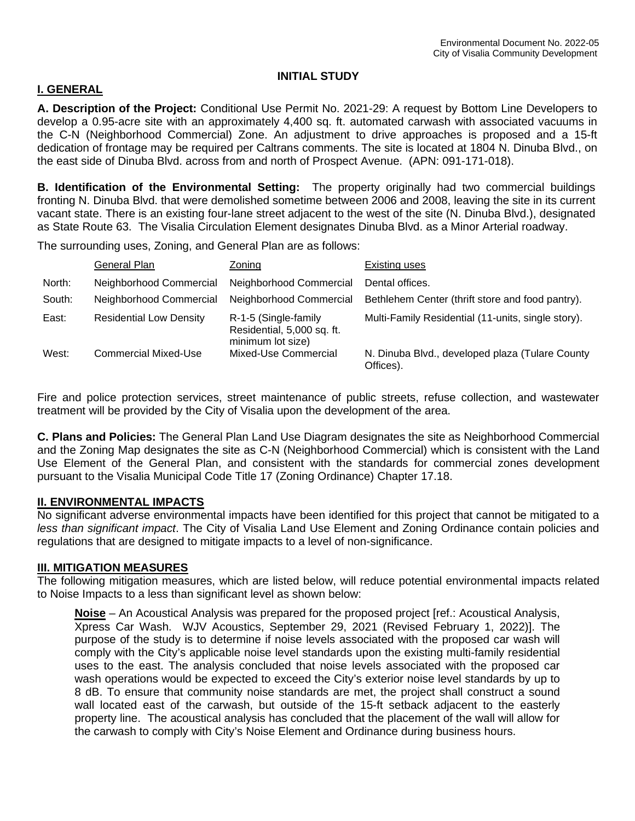# **INITIAL STUDY**

# **I. GENERAL**

**A. Description of the Project:** Conditional Use Permit No. 2021-29: A request by Bottom Line Developers to develop a 0.95-acre site with an approximately 4,400 sq. ft. automated carwash with associated vacuums in the C-N (Neighborhood Commercial) Zone. An adjustment to drive approaches is proposed and a 15-ft dedication of frontage may be required per Caltrans comments. The site is located at 1804 N. Dinuba Blvd., on the east side of Dinuba Blvd. across from and north of Prospect Avenue. (APN: 091-171-018).

**B. Identification of the Environmental Setting:** The property originally had two commercial buildings fronting N. Dinuba Blvd. that were demolished sometime between 2006 and 2008, leaving the site in its current vacant state. There is an existing four-lane street adjacent to the west of the site (N. Dinuba Blvd.), designated as State Route 63. The Visalia Circulation Element designates Dinuba Blvd. as a Minor Arterial roadway.

The surrounding uses, Zoning, and General Plan are as follows:

|        | General Plan                   | Zoning                                                                  | Existing uses                                                |
|--------|--------------------------------|-------------------------------------------------------------------------|--------------------------------------------------------------|
| North: | Neighborhood Commercial        | Neighborhood Commercial                                                 | Dental offices.                                              |
| South: | Neighborhood Commercial        | Neighborhood Commercial                                                 | Bethlehem Center (thrift store and food pantry).             |
| East:  | <b>Residential Low Density</b> | R-1-5 (Single-family<br>Residential, 5,000 sq. ft.<br>minimum lot size) | Multi-Family Residential (11-units, single story).           |
| West:  | Commercial Mixed-Use           | Mixed-Use Commercial                                                    | N. Dinuba Blvd., developed plaza (Tulare County<br>Offices). |

Fire and police protection services, street maintenance of public streets, refuse collection, and wastewater treatment will be provided by the City of Visalia upon the development of the area.

**C. Plans and Policies:** The General Plan Land Use Diagram designates the site as Neighborhood Commercial and the Zoning Map designates the site as C-N (Neighborhood Commercial) which is consistent with the Land Use Element of the General Plan, and consistent with the standards for commercial zones development pursuant to the Visalia Municipal Code Title 17 (Zoning Ordinance) Chapter 17.18.

# **II. ENVIRONMENTAL IMPACTS**

No significant adverse environmental impacts have been identified for this project that cannot be mitigated to a *less than significant impact*. The City of Visalia Land Use Element and Zoning Ordinance contain policies and regulations that are designed to mitigate impacts to a level of non-significance.

# **III. MITIGATION MEASURES**

The following mitigation measures, which are listed below, will reduce potential environmental impacts related to Noise Impacts to a less than significant level as shown below:

**Noise** – An Acoustical Analysis was prepared for the proposed project [ref.: Acoustical Analysis, Xpress Car Wash. WJV Acoustics, September 29, 2021 (Revised February 1, 2022)]. The purpose of the study is to determine if noise levels associated with the proposed car wash will comply with the City's applicable noise level standards upon the existing multi-family residential uses to the east. The analysis concluded that noise levels associated with the proposed car wash operations would be expected to exceed the City's exterior noise level standards by up to 8 dB. To ensure that community noise standards are met, the project shall construct a sound wall located east of the carwash, but outside of the 15-ft setback adjacent to the easterly property line. The acoustical analysis has concluded that the placement of the wall will allow for the carwash to comply with City's Noise Element and Ordinance during business hours.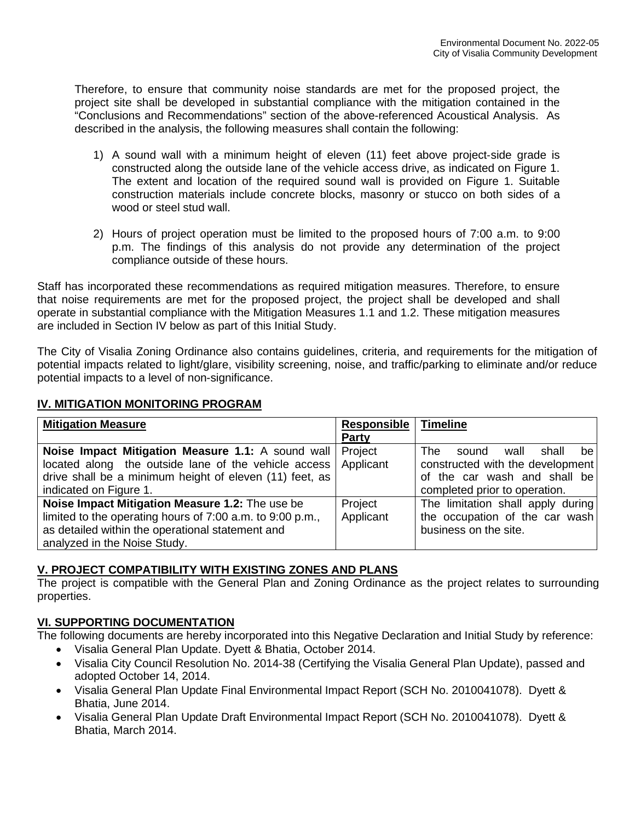Therefore, to ensure that community noise standards are met for the proposed project, the project site shall be developed in substantial compliance with the mitigation contained in the "Conclusions and Recommendations" section of the above-referenced Acoustical Analysis. As described in the analysis, the following measures shall contain the following:

- 1) A sound wall with a minimum height of eleven (11) feet above project‐side grade is constructed along the outside lane of the vehicle access drive, as indicated on Figure 1. The extent and location of the required sound wall is provided on Figure 1. Suitable construction materials include concrete blocks, masonry or stucco on both sides of a wood or steel stud wall.
- 2) Hours of project operation must be limited to the proposed hours of 7:00 a.m. to 9:00 p.m. The findings of this analysis do not provide any determination of the project compliance outside of these hours.

Staff has incorporated these recommendations as required mitigation measures. Therefore, to ensure that noise requirements are met for the proposed project, the project shall be developed and shall operate in substantial compliance with the Mitigation Measures 1.1 and 1.2. These mitigation measures are included in Section IV below as part of this Initial Study.

The City of Visalia Zoning Ordinance also contains guidelines, criteria, and requirements for the mitigation of potential impacts related to light/glare, visibility screening, noise, and traffic/parking to eliminate and/or reduce potential impacts to a level of non-significance.

# **IV. MITIGATION MONITORING PROGRAM**

| <b>Mitigation Measure</b>                                        | Responsible | <b>Timeline</b>                      |
|------------------------------------------------------------------|-------------|--------------------------------------|
|                                                                  | Party       |                                      |
| Noise Impact Mitigation Measure 1.1: A sound wall                | Project     | The.<br>shall<br>wall<br>be<br>sound |
| located along the outside lane of the vehicle access   Applicant |             | constructed with the development     |
| drive shall be a minimum height of eleven (11) feet, as          |             | of the car wash and shall be         |
| indicated on Figure 1.                                           |             | completed prior to operation.        |
| Noise Impact Mitigation Measure 1.2: The use be                  | Project     | The limitation shall apply during    |
| limited to the operating hours of 7:00 a.m. to 9:00 p.m.,        | Applicant   | the occupation of the car wash       |
| as detailed within the operational statement and                 |             | business on the site.                |
| analyzed in the Noise Study.                                     |             |                                      |

# **V. PROJECT COMPATIBILITY WITH EXISTING ZONES AND PLANS**

The project is compatible with the General Plan and Zoning Ordinance as the project relates to surrounding properties.

# **VI. SUPPORTING DOCUMENTATION**

The following documents are hereby incorporated into this Negative Declaration and Initial Study by reference:

- Visalia General Plan Update. Dyett & Bhatia, October 2014.
- Visalia City Council Resolution No. 2014-38 (Certifying the Visalia General Plan Update), passed and adopted October 14, 2014.
- Visalia General Plan Update Final Environmental Impact Report (SCH No. 2010041078). Dyett & Bhatia, June 2014.
- Visalia General Plan Update Draft Environmental Impact Report (SCH No. 2010041078). Dyett & Bhatia, March 2014.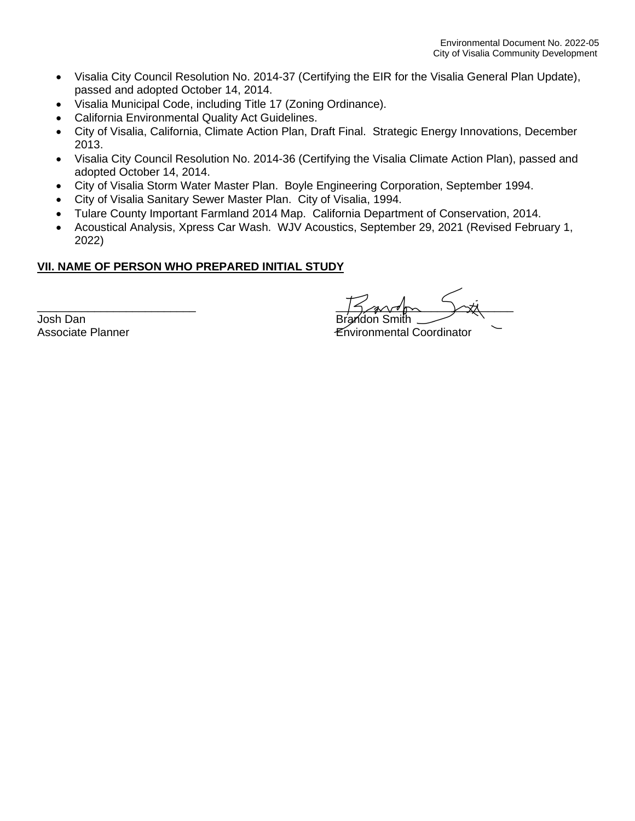- Visalia City Council Resolution No. 2014-37 (Certifying the EIR for the Visalia General Plan Update), passed and adopted October 14, 2014.
- Visalia Municipal Code, including Title 17 (Zoning Ordinance).
- California Environmental Quality Act Guidelines.
- City of Visalia, California, Climate Action Plan, Draft Final. Strategic Energy Innovations, December 2013.
- Visalia City Council Resolution No. 2014-36 (Certifying the Visalia Climate Action Plan), passed and adopted October 14, 2014.
- City of Visalia Storm Water Master Plan. Boyle Engineering Corporation, September 1994.
- City of Visalia Sanitary Sewer Master Plan. City of Visalia, 1994.
- Tulare County Important Farmland 2014 Map. California Department of Conservation, 2014.
- Acoustical Analysis, Xpress Car Wash. WJV Acoustics, September 29, 2021 (Revised February 1, 2022)

# **VII. NAME OF PERSON WHO PREPARED INITIAL STUDY**

Josh Dan<br>Associate Planner

 $\frac{1}{1}$ 

**Environmental Coordinator**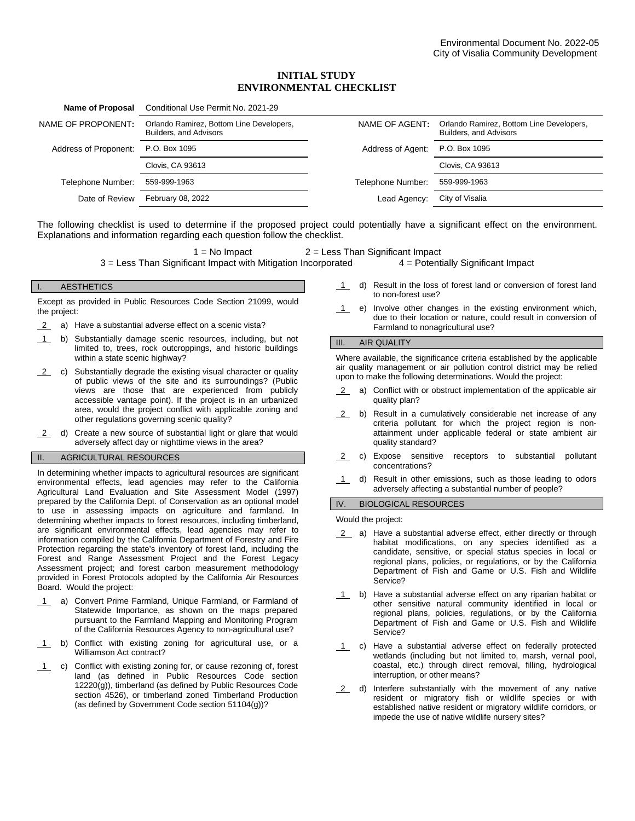## **INITIAL STUDY ENVIRONMENTAL CHECKLIST**

| Name of Proposal      | Conditional Use Permit No. 2021-29                                 |                   |                                                                    |
|-----------------------|--------------------------------------------------------------------|-------------------|--------------------------------------------------------------------|
| NAME OF PROPONENT:    | Orlando Ramirez, Bottom Line Developers,<br>Builders, and Advisors | NAME OF AGENT:    | Orlando Ramirez, Bottom Line Developers,<br>Builders, and Advisors |
| Address of Proponent: | P.O. Box 1095                                                      | Address of Agent: | P.O. Box 1095                                                      |
|                       | Clovis, CA 93613                                                   |                   | <b>Clovis, CA 93613</b>                                            |
| Telephone Number:     | 559-999-1963                                                       | Telephone Number: | 559-999-1963                                                       |
| Date of Review        | February 08, 2022                                                  | Lead Agency:      | City of Visalia                                                    |
|                       |                                                                    |                   |                                                                    |

The following checklist is used to determine if the proposed project could potentially have a significant effect on the environment. Explanations and information regarding each question follow the checklist.

1 = No Impact 2 = Less Than Significant Impact<br>ant Impact with Mitigation Incorporated  $4 =$  Potentially Significant Impact  $3$  = Less Than Significant Impact with Mitigation Incorporated

I. AESTHETICS

Except as provided in Public Resources Code Section 21099, would the project:

- 2 a) Have a substantial adverse effect on a scenic vista?
- 1 b) Substantially damage scenic resources, including, but not limited to, trees, rock outcroppings, and historic buildings within a state scenic highway?
- $2$  c) Substantially degrade the existing visual character or quality of public views of the site and its surroundings? (Public views are those that are experienced from publicly accessible vantage point). If the project is in an urbanized area, would the project conflict with applicable zoning and other regulations governing scenic quality?
- 2 d) Create a new source of substantial light or glare that would adversely affect day or nighttime views in the area?

# II. AGRICULTURAL RESOURCES

In determining whether impacts to agricultural resources are significant environmental effects, lead agencies may refer to the California Agricultural Land Evaluation and Site Assessment Model (1997) prepared by the California Dept. of Conservation as an optional model to use in assessing impacts on agriculture and farmland. In determining whether impacts to forest resources, including timberland, are significant environmental effects, lead agencies may refer to information compiled by the California Department of Forestry and Fire Protection regarding the state's inventory of forest land, including the Forest and Range Assessment Project and the Forest Legacy Assessment project; and forest carbon measurement methodology provided in Forest Protocols adopted by the California Air Resources Board. Would the project:

- 1 a) Convert Prime Farmland, Unique Farmland, or Farmland of Statewide Importance, as shown on the maps prepared pursuant to the Farmland Mapping and Monitoring Program of the California Resources Agency to non-agricultural use?
- 1 b) Conflict with existing zoning for agricultural use, or a Williamson Act contract?
- 1 c) Conflict with existing zoning for, or cause rezoning of, forest land (as defined in Public Resources Code section 12220(g)), timberland (as defined by Public Resources Code section 4526), or timberland zoned Timberland Production (as defined by Government Code section 51104(g))?
- 1 d) Result in the loss of forest land or conversion of forest land to non-forest use?
- 1 e) Involve other changes in the existing environment which, due to their location or nature, could result in conversion of Farmland to nonagricultural use?

### III. AIR QUALITY

Where available, the significance criteria established by the applicable air quality management or air pollution control district may be relied upon to make the following determinations. Would the project:

- 2 a) Conflict with or obstruct implementation of the applicable air quality plan?
- 2 b) Result in a cumulatively considerable net increase of any criteria pollutant for which the project region is nonattainment under applicable federal or state ambient air quality standard?
- 2 c) Expose sensitive receptors to substantial pollutant concentrations?
- 1 d) Result in other emissions, such as those leading to odors adversely affecting a substantial number of people?

### IV. BIOLOGICAL RESOURCES

Would the project:

- 2 a) Have a substantial adverse effect, either directly or through habitat modifications, on any species identified as a candidate, sensitive, or special status species in local or regional plans, policies, or regulations, or by the California Department of Fish and Game or U.S. Fish and Wildlife Service?
- 1 b) Have a substantial adverse effect on any riparian habitat or other sensitive natural community identified in local or regional plans, policies, regulations, or by the California Department of Fish and Game or U.S. Fish and Wildlife Service?
- 1 c) Have a substantial adverse effect on federally protected wetlands (including but not limited to, marsh, vernal pool, coastal, etc.) through direct removal, filling, hydrological interruption, or other means?
- 2 d) Interfere substantially with the movement of any native resident or migratory fish or wildlife species or with established native resident or migratory wildlife corridors, or impede the use of native wildlife nursery sites?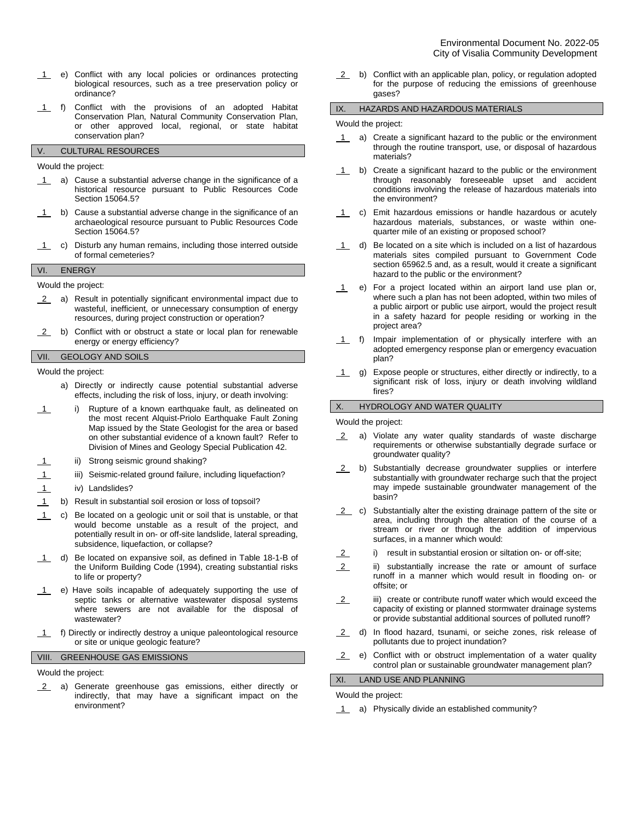- 1 e) Conflict with any local policies or ordinances protecting biological resources, such as a tree preservation policy or ordinance?
- 1 f) Conflict with the provisions of an adopted Habitat Conservation Plan, Natural Community Conservation Plan, or other approved local, regional, or state habitat conservation plan?

# V. CULTURAL RESOURCES

Would the project:

- 1 a) Cause a substantial adverse change in the significance of a historical resource pursuant to Public Resources Code Section 15064.5?
- 1 b) Cause a substantial adverse change in the significance of an archaeological resource pursuant to Public Resources Code Section 15064.5?
- 1 c) Disturb any human remains, including those interred outside of formal cemeteries?

#### VI. ENERGY

Would the project:

- 2 a) Result in potentially significant environmental impact due to wasteful, inefficient, or unnecessary consumption of energy resources, during project construction or operation?
- 2 b) Conflict with or obstruct a state or local plan for renewable energy or energy efficiency?

# VII. GEOLOGY AND SOILS

Would the project:

- a) Directly or indirectly cause potential substantial adverse effects, including the risk of loss, injury, or death involving:
- 1 i) Rupture of a known earthquake fault, as delineated on the most recent Alquist-Priolo Earthquake Fault Zoning Map issued by the State Geologist for the area or based on other substantial evidence of a known fault? Refer to Division of Mines and Geology Special Publication 42.
- 1 ii) Strong seismic ground shaking?
- 1 iii) Seismic-related ground failure, including liquefaction?
- 1 iv) Landslides?
- 1 b) Result in substantial soil erosion or loss of topsoil?
- 1 c) Be located on a geologic unit or soil that is unstable, or that would become unstable as a result of the project, and potentially result in on- or off-site landslide, lateral spreading, subsidence, liquefaction, or collapse?
- 1 d) Be located on expansive soil, as defined in Table 18-1-B of the Uniform Building Code (1994), creating substantial risks to life or property?
- 1 e) Have soils incapable of adequately supporting the use of septic tanks or alternative wastewater disposal systems where sewers are not available for the disposal of wastewater?
- 1 f) Directly or indirectly destroy a unique paleontological resource or site or unique geologic feature?

### VIII. GREENHOUSE GAS EMISSIONS

Would the project:

2 a) Generate greenhouse gas emissions, either directly or indirectly, that may have a significant impact on the environment?

2 b) Conflict with an applicable plan, policy, or regulation adopted for the purpose of reducing the emissions of greenhouse gases?

### IX. HAZARDS AND HAZARDOUS MATERIALS

#### Would the project:

- 1 a) Create a significant hazard to the public or the environment through the routine transport, use, or disposal of hazardous materials?
- 1 b) Create a significant hazard to the public or the environment through reasonably foreseeable upset and accident conditions involving the release of hazardous materials into the environment?
- 1 c) Emit hazardous emissions or handle hazardous or acutely hazardous materials, substances, or waste within onequarter mile of an existing or proposed school?
- $\overline{1}$  d) Be located on a site which is included on a list of hazardous materials sites compiled pursuant to Government Code section 65962.5 and, as a result, would it create a significant hazard to the public or the environment?
- 1 e) For a project located within an airport land use plan or, where such a plan has not been adopted, within two miles of a public airport or public use airport, would the project result in a safety hazard for people residing or working in the project area?
- 1 f) Impair implementation of or physically interfere with an adopted emergency response plan or emergency evacuation plan?
- 1 g) Expose people or structures, either directly or indirectly, to a significant risk of loss, injury or death involving wildland fires?

### X. HYDROLOGY AND WATER QUALITY

Would the project:

- 2 a) Violate any water quality standards of waste discharge requirements or otherwise substantially degrade surface or groundwater quality?
- 2 b) Substantially decrease groundwater supplies or interfere substantially with groundwater recharge such that the project may impede sustainable groundwater management of the basin?
- $2$  c) Substantially alter the existing drainage pattern of the site or area, including through the alteration of the course of a stream or river or through the addition of impervious surfaces, in a manner which would:
- 2 i) result in substantial erosion or siltation on- or off-site;
- 2 ii) substantially increase the rate or amount of surface runoff in a manner which would result in flooding on- or offsite; or
- $2$  iii) create or contribute runoff water which would exceed the capacity of existing or planned stormwater drainage systems or provide substantial additional sources of polluted runoff?
- 2 d) In flood hazard, tsunami, or seiche zones, risk release of pollutants due to project inundation?
- 2 e) Conflict with or obstruct implementation of a water quality control plan or sustainable groundwater management plan?

### XI. LAND USE AND PLANNING

Would the project:

1 a) Physically divide an established community?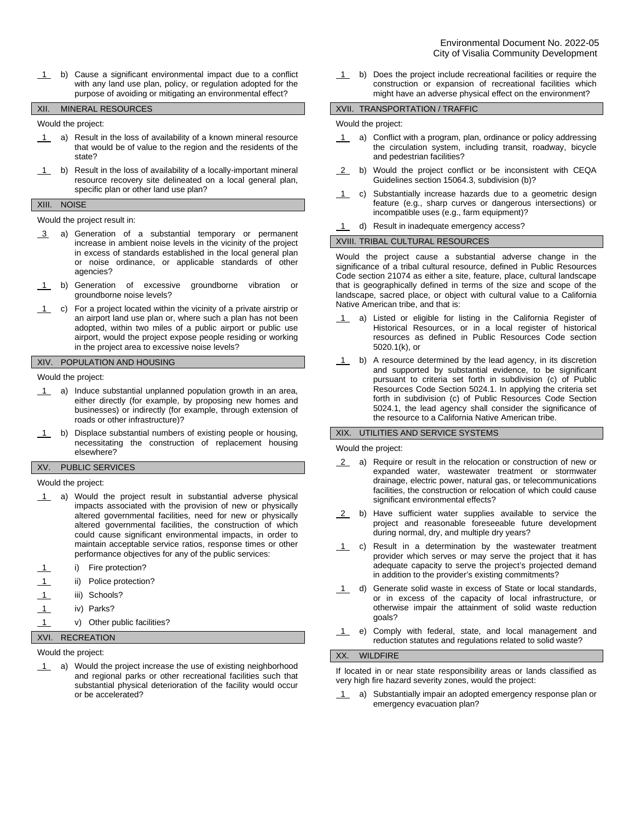1 b) Cause a significant environmental impact due to a conflict with any land use plan, policy, or regulation adopted for the purpose of avoiding or mitigating an environmental effect?

#### XII. MINERAL RESOURCES

Would the project:

- 1 a) Result in the loss of availability of a known mineral resource that would be of value to the region and the residents of the state?
- $1$  b) Result in the loss of availability of a locally-important mineral resource recovery site delineated on a local general plan, specific plan or other land use plan?

### XIII. NOISE

### Would the project result in:

- 3 a) Generation of a substantial temporary or permanent increase in ambient noise levels in the vicinity of the project in excess of standards established in the local general plan or noise ordinance, or applicable standards of other agencies?
- 1 b) Generation of excessive groundborne vibration or groundborne noise levels?
- 1 c) For a project located within the vicinity of a private airstrip or an airport land use plan or, where such a plan has not been adopted, within two miles of a public airport or public use airport, would the project expose people residing or working in the project area to excessive noise levels?

### XIV. POPULATION AND HOUSING

Would the project:

- 1 a) Induce substantial unplanned population growth in an area, either directly (for example, by proposing new homes and businesses) or indirectly (for example, through extension of roads or other infrastructure)?
- 1 b) Displace substantial numbers of existing people or housing, necessitating the construction of replacement housing elsewhere?

### XV. PUBLIC SERVICES

Would the project:

- 1 a) Would the project result in substantial adverse physical impacts associated with the provision of new or physically altered governmental facilities, need for new or physically altered governmental facilities, the construction of which could cause significant environmental impacts, in order to maintain acceptable service ratios, response times or other performance objectives for any of the public services:
- i) Fire protection?
- ii) Police protection?
- 1 iii) Schools?
- 1 iv) Parks?
- 1 v) Other public facilities?

### XVI. RECREATION

Would the project:

1 a) Would the project increase the use of existing neighborhood and regional parks or other recreational facilities such that substantial physical deterioration of the facility would occur or be accelerated?

1 b) Does the project include recreational facilities or require the construction or expansion of recreational facilities which might have an adverse physical effect on the environment?

#### XVII. TRANSPORTATION / TRAFFIC

#### Would the project:

- 1 a) Conflict with a program, plan, ordinance or policy addressing the circulation system, including transit, roadway, bicycle and pedestrian facilities?
- 2 b) Would the project conflict or be inconsistent with CEQA Guidelines section 15064.3, subdivision (b)?
- 1 c) Substantially increase hazards due to a geometric design feature (e.g., sharp curves or dangerous intersections) or incompatible uses (e.g., farm equipment)?
- 1 d) Result in inadequate emergency access?

#### XVIII. TRIBAL CULTURAL RESOURCES

Would the project cause a substantial adverse change in the significance of a tribal cultural resource, defined in Public Resources Code section 21074 as either a site, feature, place, cultural landscape that is geographically defined in terms of the size and scope of the landscape, sacred place, or object with cultural value to a California Native American tribe, and that is:

- 1 a) Listed or eligible for listing in the California Register of Historical Resources, or in a local register of historical resources as defined in Public Resources Code section 5020.1(k), or
- 1 b) A resource determined by the lead agency, in its discretion and supported by substantial evidence, to be significant pursuant to criteria set forth in subdivision (c) of Public Resources Code Section 5024.1. In applying the criteria set forth in subdivision (c) of Public Resources Code Section 5024.1, the lead agency shall consider the significance of the resource to a California Native American tribe.

### XIX. UTILITIES AND SERVICE SYSTEMS

Would the project:

- 2 a) Require or result in the relocation or construction of new or expanded water, wastewater treatment or stormwater drainage, electric power, natural gas, or telecommunications facilities, the construction or relocation of which could cause significant environmental effects?
- 2 b) Have sufficient water supplies available to service the project and reasonable foreseeable future development during normal, dry, and multiple dry years?
- 1 c) Result in a determination by the wastewater treatment provider which serves or may serve the project that it has adequate capacity to serve the project's projected demand in addition to the provider's existing commitments?
- 1 d) Generate solid waste in excess of State or local standards, or in excess of the capacity of local infrastructure, or otherwise impair the attainment of solid waste reduction goals?
- 1 e) Comply with federal, state, and local management and reduction statutes and regulations related to solid waste?

### XX. WILDFIRE

If located in or near state responsibility areas or lands classified as very high fire hazard severity zones, would the project:

1 a) Substantially impair an adopted emergency response plan or emergency evacuation plan?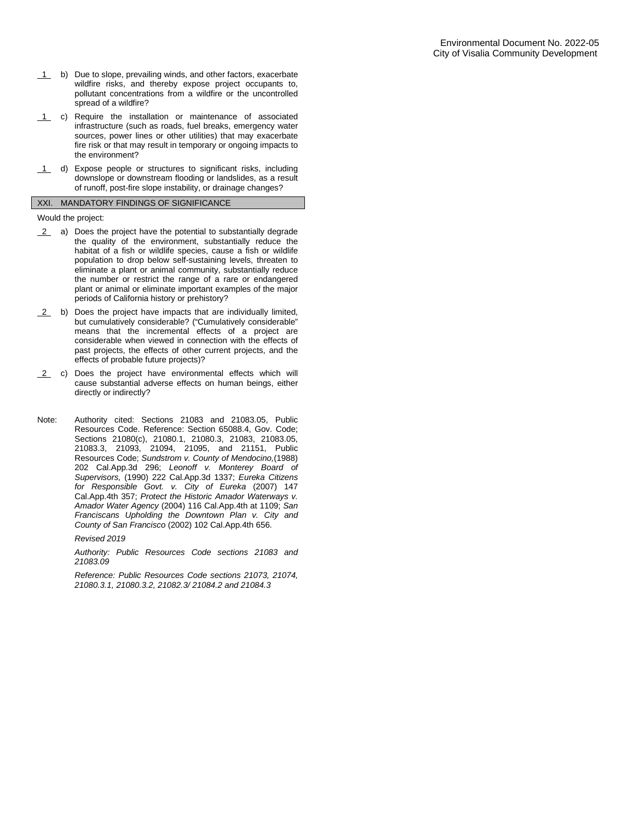- 1 b) Due to slope, prevailing winds, and other factors, exacerbate wildfire risks, and thereby expose project occupants to, pollutant concentrations from a wildfire or the uncontrolled spread of a wildfire?
- 1 c) Require the installation or maintenance of associated infrastructure (such as roads, fuel breaks, emergency water sources, power lines or other utilities) that may exacerbate fire risk or that may result in temporary or ongoing impacts to the environment?
- 1 d) Expose people or structures to significant risks, including downslope or downstream flooding or landslides, as a result of runoff, post-fire slope instability, or drainage changes?

#### XXI. MANDATORY FINDINGS OF SIGNIFICANCE

Would the project:

- 2 a) Does the project have the potential to substantially degrade the quality of the environment, substantially reduce the habitat of a fish or wildlife species, cause a fish or wildlife population to drop below self-sustaining levels, threaten to eliminate a plant or animal community, substantially reduce the number or restrict the range of a rare or endangered plant or animal or eliminate important examples of the major periods of California history or prehistory?
- 2 b) Does the project have impacts that are individually limited, but cumulatively considerable? ("Cumulatively considerable" means that the incremental effects of a project are considerable when viewed in connection with the effects of past projects, the effects of other current projects, and the effects of probable future projects)?
- 2 c) Does the project have environmental effects which will cause substantial adverse effects on human beings, either directly or indirectly?
- Note: Authority cited: Sections 21083 and 21083.05, Public Resources Code. Reference: Section 65088.4, Gov. Code; Sections 21080(c), 21080.1, 21080.3, 21083, 21083.05, 21083.3, 21093, 21094, 21095, and 21151, Public Resources Code; *Sundstrom v. County of Mendocino,*(1988) 202 Cal.App.3d 296; *Leonoff v. Monterey Board of Supervisors,* (1990) 222 Cal.App.3d 1337; *Eureka Citizens for Responsible Govt. v. City of Eureka* (2007) 147 Cal.App.4th 357; *Protect the Historic Amador Waterways v. Amador Water Agency* (2004) 116 Cal.App.4th at 1109; *San Franciscans Upholding the Downtown Plan v. City and County of San Francisco* (2002) 102 Cal.App.4th 656.

*Revised 2019*

*Authority: Public Resources Code sections 21083 and 21083.09*

*Reference: Public Resources Code sections 21073, 21074, 21080.3.1, 21080.3.2, 21082.3/ 21084.2 and 21084.3*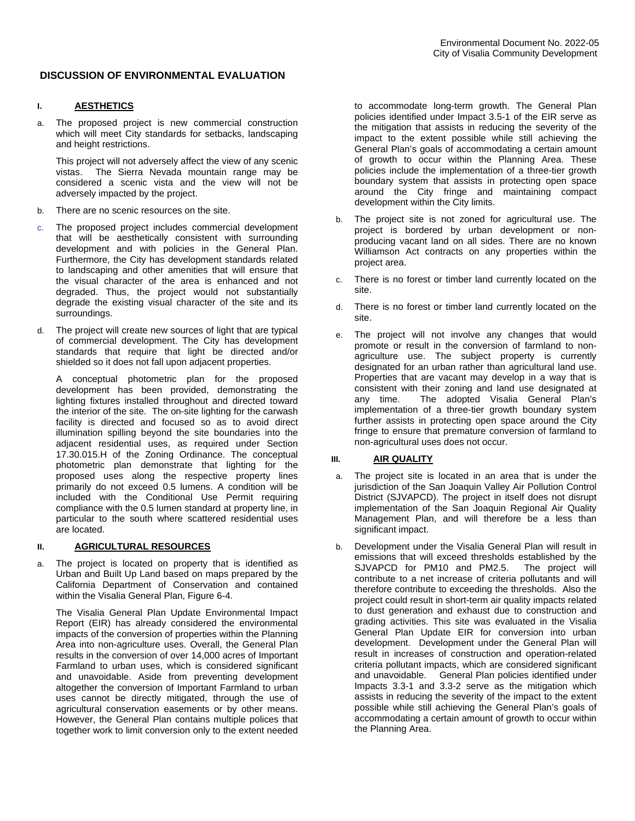## **DISCUSSION OF ENVIRONMENTAL EVALUATION**

# **I. AESTHETICS**

a. The proposed project is new commercial construction which will meet City standards for setbacks, landscaping and height restrictions.

This project will not adversely affect the view of any scenic vistas. The Sierra Nevada mountain range may be considered a scenic vista and the view will not be adversely impacted by the project.

- b. There are no scenic resources on the site.
- c. The proposed project includes commercial development that will be aesthetically consistent with surrounding development and with policies in the General Plan. Furthermore, the City has development standards related to landscaping and other amenities that will ensure that the visual character of the area is enhanced and not degraded. Thus, the project would not substantially degrade the existing visual character of the site and its surroundings.
- d. The project will create new sources of light that are typical of commercial development. The City has development standards that require that light be directed and/or shielded so it does not fall upon adjacent properties.

A conceptual photometric plan for the proposed development has been provided, demonstrating the lighting fixtures installed throughout and directed toward the interior of the site. The on-site lighting for the carwash facility is directed and focused so as to avoid direct illumination spilling beyond the site boundaries into the adjacent residential uses, as required under Section 17.30.015.H of the Zoning Ordinance. The conceptual photometric plan demonstrate that lighting for the proposed uses along the respective property lines primarily do not exceed 0.5 lumens. A condition will be included with the Conditional Use Permit requiring compliance with the 0.5 lumen standard at property line, in particular to the south where scattered residential uses are located.

## **II. AGRICULTURAL RESOURCES**

a. The project is located on property that is identified as Urban and Built Up Land based on maps prepared by the California Department of Conservation and contained within the Visalia General Plan, Figure 6-4.

The Visalia General Plan Update Environmental Impact Report (EIR) has already considered the environmental impacts of the conversion of properties within the Planning Area into non-agriculture uses. Overall, the General Plan results in the conversion of over 14,000 acres of Important Farmland to urban uses, which is considered significant and unavoidable. Aside from preventing development altogether the conversion of Important Farmland to urban uses cannot be directly mitigated, through the use of agricultural conservation easements or by other means. However, the General Plan contains multiple polices that together work to limit conversion only to the extent needed to accommodate long-term growth. The General Plan policies identified under Impact 3.5-1 of the EIR serve as the mitigation that assists in reducing the severity of the impact to the extent possible while still achieving the General Plan's goals of accommodating a certain amount of growth to occur within the Planning Area. These policies include the implementation of a three-tier growth boundary system that assists in protecting open space around the City fringe and maintaining compact development within the City limits.

- b. The project site is not zoned for agricultural use. The project is bordered by urban development or nonproducing vacant land on all sides. There are no known Williamson Act contracts on any properties within the project area.
- c. There is no forest or timber land currently located on the site.
- d. There is no forest or timber land currently located on the site.
- e. The project will not involve any changes that would promote or result in the conversion of farmland to nonagriculture use. The subject property is currently designated for an urban rather than agricultural land use. Properties that are vacant may develop in a way that is consistent with their zoning and land use designated at any time. The adopted Visalia General Plan's implementation of a three-tier growth boundary system further assists in protecting open space around the City fringe to ensure that premature conversion of farmland to non-agricultural uses does not occur.

## **III. AIR QUALITY**

- a. The project site is located in an area that is under the jurisdiction of the San Joaquin Valley Air Pollution Control District (SJVAPCD). The project in itself does not disrupt implementation of the San Joaquin Regional Air Quality Management Plan, and will therefore be a less than significant impact.
- b. Development under the Visalia General Plan will result in emissions that will exceed thresholds established by the SJVAPCD for PM10 and PM2.5. The project will contribute to a net increase of criteria pollutants and will therefore contribute to exceeding the thresholds. Also the project could result in short-term air quality impacts related to dust generation and exhaust due to construction and grading activities. This site was evaluated in the Visalia General Plan Update EIR for conversion into urban development. Development under the General Plan will result in increases of construction and operation-related criteria pollutant impacts, which are considered significant and unavoidable. General Plan policies identified under Impacts 3.3-1 and 3.3-2 serve as the mitigation which assists in reducing the severity of the impact to the extent possible while still achieving the General Plan's goals of accommodating a certain amount of growth to occur within the Planning Area.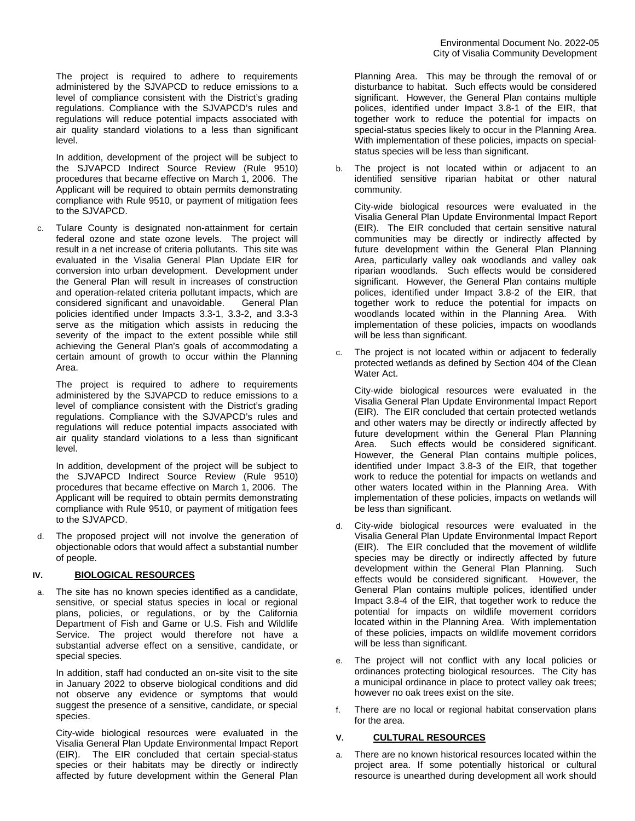The project is required to adhere to requirements administered by the SJVAPCD to reduce emissions to a level of compliance consistent with the District's grading regulations. Compliance with the SJVAPCD's rules and regulations will reduce potential impacts associated with air quality standard violations to a less than significant level.

In addition, development of the project will be subject to the SJVAPCD Indirect Source Review (Rule 9510) procedures that became effective on March 1, 2006. The Applicant will be required to obtain permits demonstrating compliance with Rule 9510, or payment of mitigation fees to the SJVAPCD.

c. Tulare County is designated non-attainment for certain federal ozone and state ozone levels. The project will result in a net increase of criteria pollutants. This site was evaluated in the Visalia General Plan Update EIR for conversion into urban development. Development under the General Plan will result in increases of construction and operation-related criteria pollutant impacts, which are considered significant and unavoidable. General Plan policies identified under Impacts 3.3-1, 3.3-2, and 3.3-3 serve as the mitigation which assists in reducing the severity of the impact to the extent possible while still achieving the General Plan's goals of accommodating a certain amount of growth to occur within the Planning Area.

The project is required to adhere to requirements administered by the SJVAPCD to reduce emissions to a level of compliance consistent with the District's grading regulations. Compliance with the SJVAPCD's rules and regulations will reduce potential impacts associated with air quality standard violations to a less than significant level.

In addition, development of the project will be subject to the SJVAPCD Indirect Source Review (Rule 9510) procedures that became effective on March 1, 2006. The Applicant will be required to obtain permits demonstrating compliance with Rule 9510, or payment of mitigation fees to the SJVAPCD.

d. The proposed project will not involve the generation of objectionable odors that would affect a substantial number of people.

## **IV. BIOLOGICAL RESOURCES**

a. The site has no known species identified as a candidate, sensitive, or special status species in local or regional plans, policies, or regulations, or by the California Department of Fish and Game or U.S. Fish and Wildlife Service. The project would therefore not have a substantial adverse effect on a sensitive, candidate, or special species.

In addition, staff had conducted an on-site visit to the site in January 2022 to observe biological conditions and did not observe any evidence or symptoms that would suggest the presence of a sensitive, candidate, or special species.

City-wide biological resources were evaluated in the Visalia General Plan Update Environmental Impact Report (EIR). The EIR concluded that certain special-status species or their habitats may be directly or indirectly affected by future development within the General Plan

Planning Area. This may be through the removal of or disturbance to habitat. Such effects would be considered significant. However, the General Plan contains multiple polices, identified under Impact 3.8-1 of the EIR, that together work to reduce the potential for impacts on special-status species likely to occur in the Planning Area. With implementation of these policies, impacts on specialstatus species will be less than significant.

b. The project is not located within or adjacent to an identified sensitive riparian habitat or other natural community.

City-wide biological resources were evaluated in the Visalia General Plan Update Environmental Impact Report (EIR). The EIR concluded that certain sensitive natural communities may be directly or indirectly affected by future development within the General Plan Planning Area, particularly valley oak woodlands and valley oak riparian woodlands. Such effects would be considered significant. However, the General Plan contains multiple polices, identified under Impact 3.8-2 of the EIR, that together work to reduce the potential for impacts on woodlands located within in the Planning Area. With implementation of these policies, impacts on woodlands will be less than significant.

c. The project is not located within or adjacent to federally protected wetlands as defined by Section 404 of the Clean Water Act.

City-wide biological resources were evaluated in the Visalia General Plan Update Environmental Impact Report (EIR). The EIR concluded that certain protected wetlands and other waters may be directly or indirectly affected by future development within the General Plan Planning Area. Such effects would be considered significant. However, the General Plan contains multiple polices, identified under Impact 3.8-3 of the EIR, that together work to reduce the potential for impacts on wetlands and other waters located within in the Planning Area. With implementation of these policies, impacts on wetlands will be less than significant.

- d. City-wide biological resources were evaluated in the Visalia General Plan Update Environmental Impact Report (EIR). The EIR concluded that the movement of wildlife species may be directly or indirectly affected by future development within the General Plan Planning. Such effects would be considered significant. However, the General Plan contains multiple polices, identified under Impact 3.8-4 of the EIR, that together work to reduce the potential for impacts on wildlife movement corridors located within in the Planning Area. With implementation of these policies, impacts on wildlife movement corridors will be less than significant.
- e. The project will not conflict with any local policies or ordinances protecting biological resources. The City has a municipal ordinance in place to protect valley oak trees; however no oak trees exist on the site.
- f. There are no local or regional habitat conservation plans for the area.

## **V. CULTURAL RESOURCES**

a. There are no known historical resources located within the project area. If some potentially historical or cultural resource is unearthed during development all work should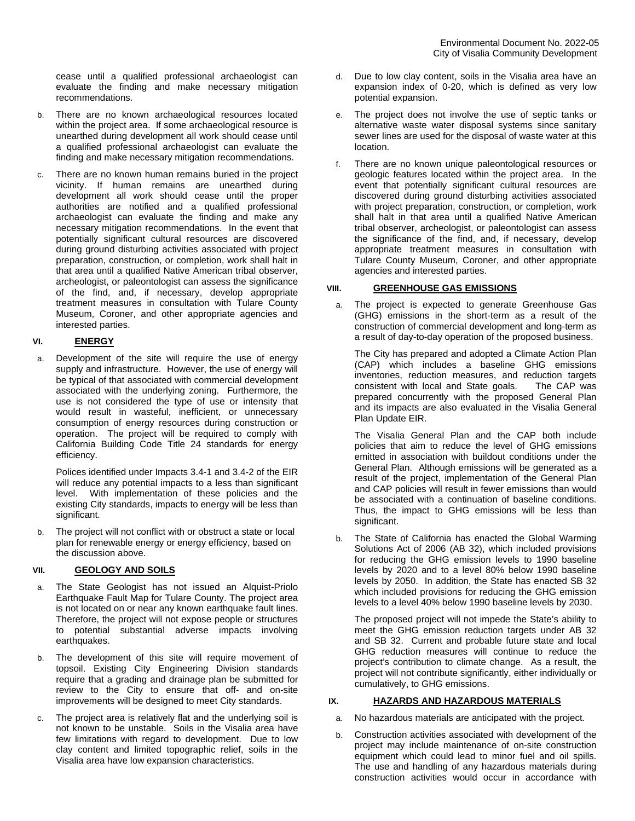cease until a qualified professional archaeologist can evaluate the finding and make necessary mitigation recommendations.

- b. There are no known archaeological resources located within the project area. If some archaeological resource is unearthed during development all work should cease until a qualified professional archaeologist can evaluate the finding and make necessary mitigation recommendations.
- c. There are no known human remains buried in the project vicinity. If human remains are unearthed during development all work should cease until the proper authorities are notified and a qualified professional archaeologist can evaluate the finding and make any necessary mitigation recommendations. In the event that potentially significant cultural resources are discovered during ground disturbing activities associated with project preparation, construction, or completion, work shall halt in that area until a qualified Native American tribal observer, archeologist, or paleontologist can assess the significance of the find, and, if necessary, develop appropriate treatment measures in consultation with Tulare County Museum, Coroner, and other appropriate agencies and interested parties.

## **VI. ENERGY**

a. Development of the site will require the use of energy supply and infrastructure. However, the use of energy will be typical of that associated with commercial development associated with the underlying zoning. Furthermore, the use is not considered the type of use or intensity that would result in wasteful, inefficient, or unnecessary consumption of energy resources during construction or operation. The project will be required to comply with California Building Code Title 24 standards for energy efficiency.

Polices identified under Impacts 3.4-1 and 3.4-2 of the EIR will reduce any potential impacts to a less than significant level. With implementation of these policies and the existing City standards, impacts to energy will be less than significant.

b. The project will not conflict with or obstruct a state or local plan for renewable energy or energy efficiency, based on the discussion above.

## **VII. GEOLOGY AND SOILS**

- The State Geologist has not issued an Alquist-Priolo Earthquake Fault Map for Tulare County. The project area is not located on or near any known earthquake fault lines. Therefore, the project will not expose people or structures to potential substantial adverse impacts involving earthquakes.
- b. The development of this site will require movement of topsoil. Existing City Engineering Division standards require that a grading and drainage plan be submitted for review to the City to ensure that off- and on-site improvements will be designed to meet City standards.
- c. The project area is relatively flat and the underlying soil is not known to be unstable. Soils in the Visalia area have few limitations with regard to development. Due to low clay content and limited topographic relief, soils in the Visalia area have low expansion characteristics.
- d. Due to low clay content, soils in the Visalia area have an expansion index of 0-20, which is defined as very low potential expansion.
- e. The project does not involve the use of septic tanks or alternative waste water disposal systems since sanitary sewer lines are used for the disposal of waste water at this location.
- f. There are no known unique paleontological resources or geologic features located within the project area. In the event that potentially significant cultural resources are discovered during ground disturbing activities associated with project preparation, construction, or completion, work shall halt in that area until a qualified Native American tribal observer, archeologist, or paleontologist can assess the significance of the find, and, if necessary, develop appropriate treatment measures in consultation with Tulare County Museum, Coroner, and other appropriate agencies and interested parties.

## **VIII. GREENHOUSE GAS EMISSIONS**

a. The project is expected to generate Greenhouse Gas (GHG) emissions in the short-term as a result of the construction of commercial development and long-term as a result of day-to-day operation of the proposed business.

The City has prepared and adopted a Climate Action Plan (CAP) which includes a baseline GHG emissions inventories, reduction measures, and reduction targets consistent with local and State goals. The CAP was prepared concurrently with the proposed General Plan and its impacts are also evaluated in the Visalia General Plan Update EIR.

The Visalia General Plan and the CAP both include policies that aim to reduce the level of GHG emissions emitted in association with buildout conditions under the General Plan. Although emissions will be generated as a result of the project, implementation of the General Plan and CAP policies will result in fewer emissions than would be associated with a continuation of baseline conditions. Thus, the impact to GHG emissions will be less than significant.

b. The State of California has enacted the Global Warming Solutions Act of 2006 (AB 32), which included provisions for reducing the GHG emission levels to 1990 baseline levels by 2020 and to a level 80% below 1990 baseline levels by 2050. In addition, the State has enacted SB 32 which included provisions for reducing the GHG emission levels to a level 40% below 1990 baseline levels by 2030.

The proposed project will not impede the State's ability to meet the GHG emission reduction targets under AB 32 and SB 32. Current and probable future state and local GHG reduction measures will continue to reduce the project's contribution to climate change. As a result, the project will not contribute significantly, either individually or cumulatively, to GHG emissions.

## **IX. HAZARDS AND HAZARDOUS MATERIALS**

- a. No hazardous materials are anticipated with the project.
- b. Construction activities associated with development of the project may include maintenance of on-site construction equipment which could lead to minor fuel and oil spills. The use and handling of any hazardous materials during construction activities would occur in accordance with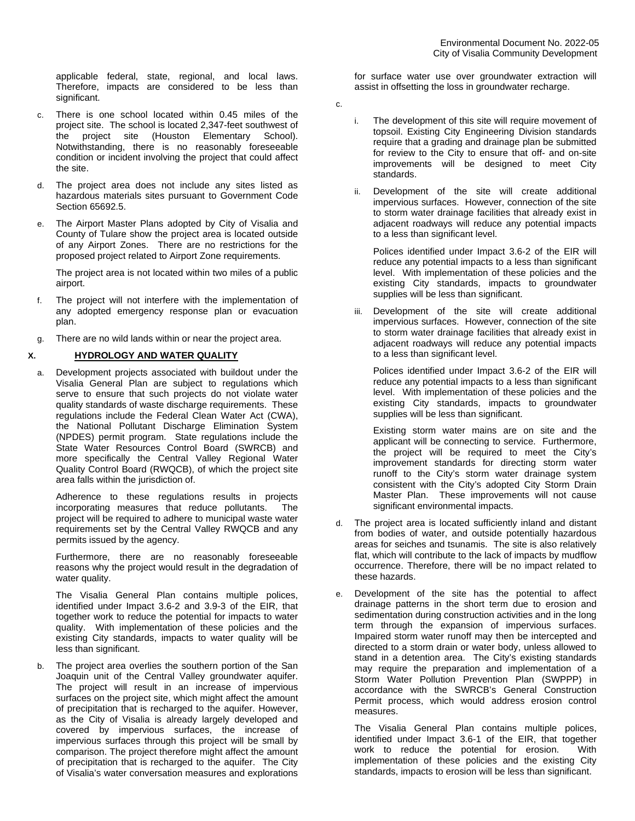applicable federal, state, regional, and local laws. Therefore, impacts are considered to be less than significant.

- c. There is one school located within 0.45 miles of the project site. The school is located 2,347-feet southwest of the project site (Houston Elementary School). Notwithstanding, there is no reasonably foreseeable condition or incident involving the project that could affect the site.
- d. The project area does not include any sites listed as hazardous materials sites pursuant to Government Code Section 65692.5.
- e. The Airport Master Plans adopted by City of Visalia and County of Tulare show the project area is located outside of any Airport Zones. There are no restrictions for the proposed project related to Airport Zone requirements.

The project area is not located within two miles of a public airport.

- f. The project will not interfere with the implementation of any adopted emergency response plan or evacuation plan.
- g. There are no wild lands within or near the project area.

# **X. HYDROLOGY AND WATER QUALITY**

a. Development projects associated with buildout under the Visalia General Plan are subject to regulations which serve to ensure that such projects do not violate water quality standards of waste discharge requirements. These regulations include the Federal Clean Water Act (CWA), the National Pollutant Discharge Elimination System (NPDES) permit program. State regulations include the State Water Resources Control Board (SWRCB) and more specifically the Central Valley Regional Water Quality Control Board (RWQCB), of which the project site area falls within the jurisdiction of.

Adherence to these regulations results in projects incorporating measures that reduce pollutants. The project will be required to adhere to municipal waste water requirements set by the Central Valley RWQCB and any permits issued by the agency.

Furthermore, there are no reasonably foreseeable reasons why the project would result in the degradation of water quality.

The Visalia General Plan contains multiple polices, identified under Impact 3.6-2 and 3.9-3 of the EIR, that together work to reduce the potential for impacts to water quality. With implementation of these policies and the existing City standards, impacts to water quality will be less than significant.

b. The project area overlies the southern portion of the San Joaquin unit of the Central Valley groundwater aquifer. The project will result in an increase of impervious surfaces on the project site, which might affect the amount of precipitation that is recharged to the aquifer. However, as the City of Visalia is already largely developed and covered by impervious surfaces, the increase of impervious surfaces through this project will be small by comparison. The project therefore might affect the amount of precipitation that is recharged to the aquifer. The City of Visalia's water conversation measures and explorations

for surface water use over groundwater extraction will assist in offsetting the loss in groundwater recharge.

- c.
- i. The development of this site will require movement of topsoil. Existing City Engineering Division standards require that a grading and drainage plan be submitted for review to the City to ensure that off- and on-site improvements will be designed to meet City standards.
- ii. Development of the site will create additional impervious surfaces. However, connection of the site to storm water drainage facilities that already exist in adjacent roadways will reduce any potential impacts to a less than significant level.

Polices identified under Impact 3.6-2 of the EIR will reduce any potential impacts to a less than significant level. With implementation of these policies and the existing City standards, impacts to groundwater supplies will be less than significant.

iii. Development of the site will create additional impervious surfaces. However, connection of the site to storm water drainage facilities that already exist in adjacent roadways will reduce any potential impacts to a less than significant level.

Polices identified under Impact 3.6-2 of the EIR will reduce any potential impacts to a less than significant level. With implementation of these policies and the existing City standards, impacts to groundwater supplies will be less than significant.

Existing storm water mains are on site and the applicant will be connecting to service. Furthermore, the project will be required to meet the City's improvement standards for directing storm water runoff to the City's storm water drainage system consistent with the City's adopted City Storm Drain Master Plan. These improvements will not cause significant environmental impacts.

- d. The project area is located sufficiently inland and distant from bodies of water, and outside potentially hazardous areas for seiches and tsunamis. The site is also relatively flat, which will contribute to the lack of impacts by mudflow occurrence. Therefore, there will be no impact related to these hazards.
- e. Development of the site has the potential to affect drainage patterns in the short term due to erosion and sedimentation during construction activities and in the long term through the expansion of impervious surfaces. Impaired storm water runoff may then be intercepted and directed to a storm drain or water body, unless allowed to stand in a detention area. The City's existing standards may require the preparation and implementation of a Storm Water Pollution Prevention Plan (SWPPP) in accordance with the SWRCB's General Construction Permit process, which would address erosion control measures.

The Visalia General Plan contains multiple polices, identified under Impact 3.6-1 of the EIR, that together work to reduce the potential for erosion. With implementation of these policies and the existing City standards, impacts to erosion will be less than significant.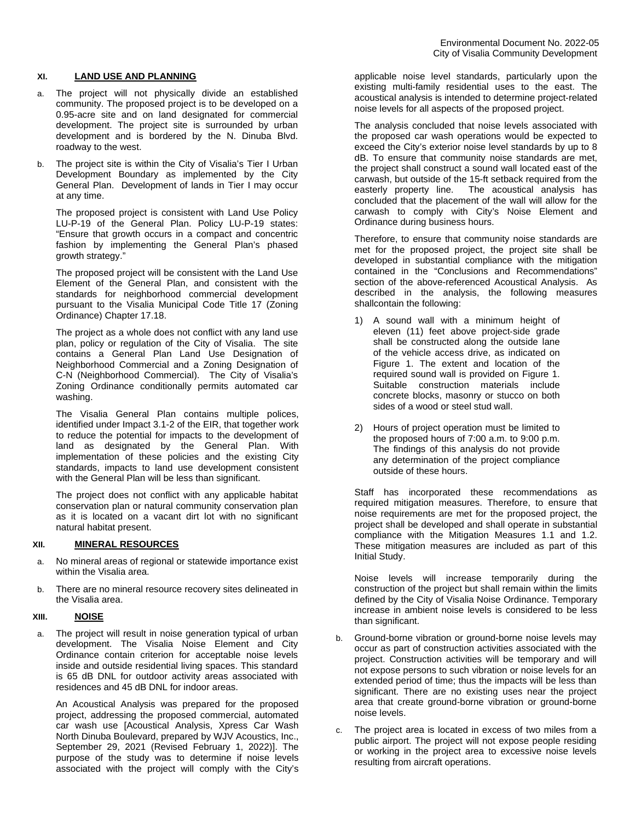### **XI. LAND USE AND PLANNING**

- a. The project will not physically divide an established community. The proposed project is to be developed on a 0.95-acre site and on land designated for commercial development. The project site is surrounded by urban development and is bordered by the N. Dinuba Blvd. roadway to the west.
- b. The project site is within the City of Visalia's Tier I Urban Development Boundary as implemented by the City General Plan. Development of lands in Tier I may occur at any time.

The proposed project is consistent with Land Use Policy LU-P-19 of the General Plan. Policy LU-P-19 states: "Ensure that growth occurs in a compact and concentric fashion by implementing the General Plan's phased growth strategy."

The proposed project will be consistent with the Land Use Element of the General Plan, and consistent with the standards for neighborhood commercial development pursuant to the Visalia Municipal Code Title 17 (Zoning Ordinance) Chapter 17.18.

The project as a whole does not conflict with any land use plan, policy or regulation of the City of Visalia. The site contains a General Plan Land Use Designation of Neighborhood Commercial and a Zoning Designation of C-N (Neighborhood Commercial). The City of Visalia's Zoning Ordinance conditionally permits automated car washing.

The Visalia General Plan contains multiple polices, identified under Impact 3.1-2 of the EIR, that together work to reduce the potential for impacts to the development of land as designated by the General Plan. With implementation of these policies and the existing City standards, impacts to land use development consistent with the General Plan will be less than significant.

The project does not conflict with any applicable habitat conservation plan or natural community conservation plan as it is located on a vacant dirt lot with no significant natural habitat present.

### **XII. MINERAL RESOURCES**

- a. No mineral areas of regional or statewide importance exist within the Visalia area.
- b. There are no mineral resource recovery sites delineated in the Visalia area.

### **XIII. NOISE**

a. The project will result in noise generation typical of urban development. The Visalia Noise Element and City Ordinance contain criterion for acceptable noise levels inside and outside residential living spaces. This standard is 65 dB DNL for outdoor activity areas associated with residences and 45 dB DNL for indoor areas.

An Acoustical Analysis was prepared for the proposed project, addressing the proposed commercial, automated car wash use [Acoustical Analysis, Xpress Car Wash North Dinuba Boulevard, prepared by WJV Acoustics, Inc., September 29, 2021 (Revised February 1, 2022)]. The purpose of the study was to determine if noise levels associated with the project will comply with the City's

applicable noise level standards, particularly upon the existing multi-family residential uses to the east. The acoustical analysis is intended to determine project‐related noise levels for all aspects of the proposed project.

The analysis concluded that noise levels associated with the proposed car wash operations would be expected to exceed the City's exterior noise level standards by up to 8 dB. To ensure that community noise standards are met, the project shall construct a sound wall located east of the carwash, but outside of the 15-ft setback required from the easterly property line. The acoustical analysis has concluded that the placement of the wall will allow for the carwash to comply with City's Noise Element and Ordinance during business hours.

Therefore, to ensure that community noise standards are met for the proposed project, the project site shall be developed in substantial compliance with the mitigation contained in the "Conclusions and Recommendations" section of the above-referenced Acoustical Analysis. As described in the analysis, the following measures shallcontain the following:

- 1) A sound wall with a minimum height of eleven (11) feet above project‐side grade shall be constructed along the outside lane of the vehicle access drive, as indicated on Figure 1. The extent and location of the required sound wall is provided on Figure 1. Suitable construction materials include concrete blocks, masonry or stucco on both sides of a wood or steel stud wall.
- 2) Hours of project operation must be limited to the proposed hours of 7:00 a.m. to 9:00 p.m. The findings of this analysis do not provide any determination of the project compliance outside of these hours.

Staff has incorporated these recommendations as required mitigation measures. Therefore, to ensure that noise requirements are met for the proposed project, the project shall be developed and shall operate in substantial compliance with the Mitigation Measures 1.1 and 1.2. These mitigation measures are included as part of this Initial Study.

Noise levels will increase temporarily during the construction of the project but shall remain within the limits defined by the City of Visalia Noise Ordinance. Temporary increase in ambient noise levels is considered to be less than significant.

- b. Ground-borne vibration or ground-borne noise levels may occur as part of construction activities associated with the project. Construction activities will be temporary and will not expose persons to such vibration or noise levels for an extended period of time; thus the impacts will be less than significant. There are no existing uses near the project area that create ground-borne vibration or ground-borne noise levels.
- c. The project area is located in excess of two miles from a public airport. The project will not expose people residing or working in the project area to excessive noise levels resulting from aircraft operations.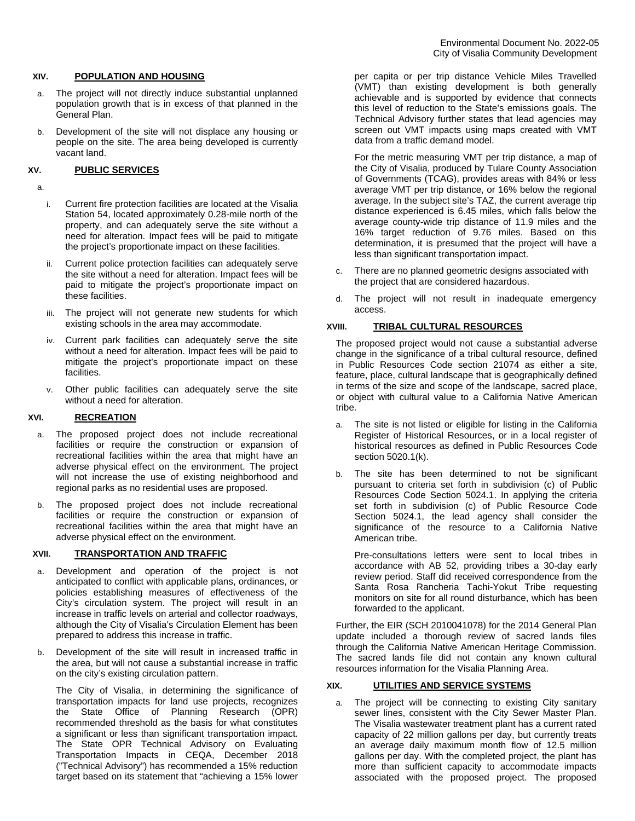### **XIV. POPULATION AND HOUSING**

- a. The project will not directly induce substantial unplanned population growth that is in excess of that planned in the General Plan.
- b. Development of the site will not displace any housing or people on the site. The area being developed is currently vacant land.

### **XV. PUBLIC SERVICES**

a.

- i. Current fire protection facilities are located at the Visalia Station 54, located approximately 0.28-mile north of the property, and can adequately serve the site without a need for alteration. Impact fees will be paid to mitigate the project's proportionate impact on these facilities.
- ii. Current police protection facilities can adequately serve the site without a need for alteration. Impact fees will be paid to mitigate the project's proportionate impact on these facilities.
- iii. The project will not generate new students for which existing schools in the area may accommodate.
- iv. Current park facilities can adequately serve the site without a need for alteration. Impact fees will be paid to mitigate the project's proportionate impact on these facilities.
- v. Other public facilities can adequately serve the site without a need for alteration.

### **XVI. RECREATION**

- The proposed project does not include recreational facilities or require the construction or expansion of recreational facilities within the area that might have an adverse physical effect on the environment. The project will not increase the use of existing neighborhood and regional parks as no residential uses are proposed.
- b. The proposed project does not include recreational facilities or require the construction or expansion of recreational facilities within the area that might have an adverse physical effect on the environment.

### **XVII. TRANSPORTATION AND TRAFFIC**

- Development and operation of the project is not anticipated to conflict with applicable plans, ordinances, or policies establishing measures of effectiveness of the City's circulation system. The project will result in an increase in traffic levels on arterial and collector roadways, although the City of Visalia's Circulation Element has been prepared to address this increase in traffic.
- b. Development of the site will result in increased traffic in the area, but will not cause a substantial increase in traffic on the city's existing circulation pattern.

The City of Visalia, in determining the significance of transportation impacts for land use projects, recognizes the State Office of Planning Research (OPR) recommended threshold as the basis for what constitutes a significant or less than significant transportation impact. The State OPR Technical Advisory on Evaluating Transportation Impacts in CEQA, December 2018 ("Technical Advisory") has recommended a 15% reduction target based on its statement that "achieving a 15% lower

per capita or per trip distance Vehicle Miles Travelled (VMT) than existing development is both generally achievable and is supported by evidence that connects this level of reduction to the State's emissions goals. The Technical Advisory further states that lead agencies may screen out VMT impacts using maps created with VMT data from a traffic demand model.

For the metric measuring VMT per trip distance, a map of the City of Visalia, produced by Tulare County Association of Governments (TCAG), provides areas with 84% or less average VMT per trip distance, or 16% below the regional average. In the subject site's TAZ, the current average trip distance experienced is 6.45 miles, which falls below the average county-wide trip distance of 11.9 miles and the 16% target reduction of 9.76 miles. Based on this determination, it is presumed that the project will have a less than significant transportation impact.

- c. There are no planned geometric designs associated with the project that are considered hazardous.
- d. The project will not result in inadequate emergency access.

### **XVIII. TRIBAL CULTURAL RESOURCES**

The proposed project would not cause a substantial adverse change in the significance of a tribal cultural resource, defined in Public Resources Code section 21074 as either a site, feature, place, cultural landscape that is geographically defined in terms of the size and scope of the landscape, sacred place, or object with cultural value to a California Native American tribe.

- a. The site is not listed or eligible for listing in the California Register of Historical Resources, or in a local register of historical resources as defined in Public Resources Code section 5020.1(k).
- b. The site has been determined to not be significant pursuant to criteria set forth in subdivision (c) of Public Resources Code Section 5024.1. In applying the criteria set forth in subdivision (c) of Public Resource Code Section 5024.1, the lead agency shall consider the significance of the resource to a California Native American tribe.

Pre-consultations letters were sent to local tribes in accordance with AB 52, providing tribes a 30-day early review period. Staff did received correspondence from the Santa Rosa Rancheria Tachi-Yokut Tribe requesting monitors on site for all round disturbance, which has been forwarded to the applicant.

Further, the EIR (SCH 2010041078) for the 2014 General Plan update included a thorough review of sacred lands files through the California Native American Heritage Commission. The sacred lands file did not contain any known cultural resources information for the Visalia Planning Area.

## **XIX. UTILITIES AND SERVICE SYSTEMS**

a. The project will be connecting to existing City sanitary sewer lines, consistent with the City Sewer Master Plan. The Visalia wastewater treatment plant has a current rated capacity of 22 million gallons per day, but currently treats an average daily maximum month flow of 12.5 million gallons per day. With the completed project, the plant has more than sufficient capacity to accommodate impacts associated with the proposed project. The proposed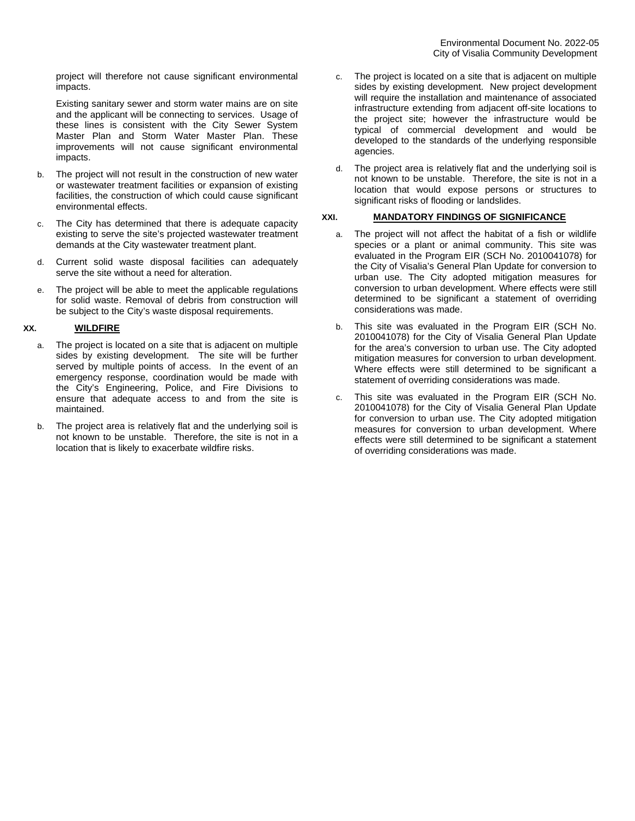project will therefore not cause significant environmental impacts.

Existing sanitary sewer and storm water mains are on site and the applicant will be connecting to services. Usage of these lines is consistent with the City Sewer System Master Plan and Storm Water Master Plan. These improvements will not cause significant environmental impacts.

- b. The project will not result in the construction of new water or wastewater treatment facilities or expansion of existing facilities, the construction of which could cause significant environmental effects.
- c. The City has determined that there is adequate capacity existing to serve the site's projected wastewater treatment demands at the City wastewater treatment plant.
- d. Current solid waste disposal facilities can adequately serve the site without a need for alteration.
- e. The project will be able to meet the applicable regulations for solid waste. Removal of debris from construction will be subject to the City's waste disposal requirements.

# **XX. WILDFIRE**

- a. The project is located on a site that is adjacent on multiple sides by existing development. The site will be further served by multiple points of access. In the event of an emergency response, coordination would be made with the City's Engineering, Police, and Fire Divisions to ensure that adequate access to and from the site is maintained.
- b. The project area is relatively flat and the underlying soil is not known to be unstable. Therefore, the site is not in a location that is likely to exacerbate wildfire risks.
- c. The project is located on a site that is adjacent on multiple sides by existing development. New project development will require the installation and maintenance of associated infrastructure extending from adjacent off-site locations to the project site; however the infrastructure would be typical of commercial development and would be developed to the standards of the underlying responsible agencies.
- d. The project area is relatively flat and the underlying soil is not known to be unstable. Therefore, the site is not in a location that would expose persons or structures to significant risks of flooding or landslides.

## **XXI. MANDATORY FINDINGS OF SIGNIFICANCE**

- a. The project will not affect the habitat of a fish or wildlife species or a plant or animal community. This site was evaluated in the Program EIR (SCH No. 2010041078) for the City of Visalia's General Plan Update for conversion to urban use. The City adopted mitigation measures for conversion to urban development. Where effects were still determined to be significant a statement of overriding considerations was made.
- b. This site was evaluated in the Program EIR (SCH No. 2010041078) for the City of Visalia General Plan Update for the area's conversion to urban use. The City adopted mitigation measures for conversion to urban development. Where effects were still determined to be significant a statement of overriding considerations was made.
- c. This site was evaluated in the Program EIR (SCH No. 2010041078) for the City of Visalia General Plan Update for conversion to urban use. The City adopted mitigation measures for conversion to urban development. Where effects were still determined to be significant a statement of overriding considerations was made.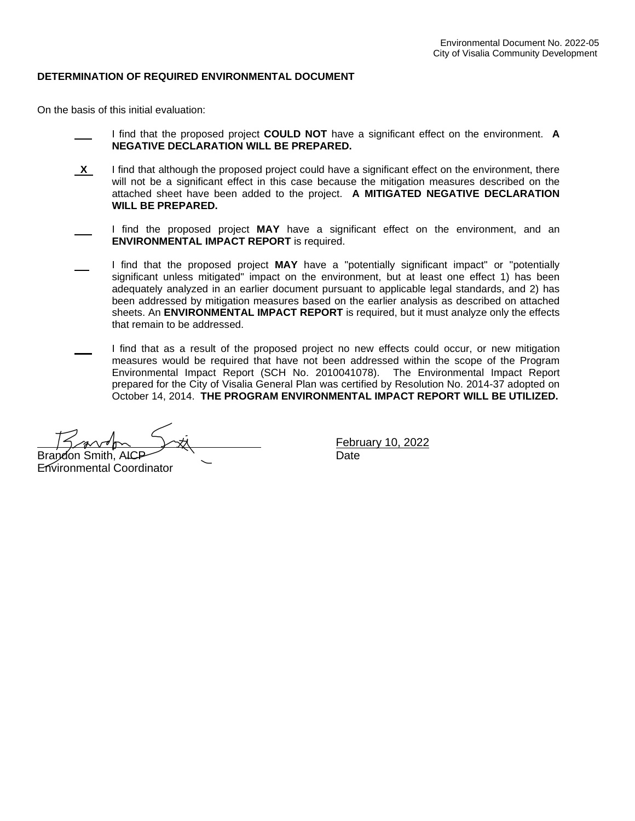# **DETERMINATION OF REQUIRED ENVIRONMENTAL DOCUMENT**

On the basis of this initial evaluation:

- I find that the proposed project **COULD NOT** have a significant effect on the environment. **A NEGATIVE DECLARATION WILL BE PREPARED.**
- **X** I find that although the proposed project could have a significant effect on the environment, there will not be a significant effect in this case because the mitigation measures described on the attached sheet have been added to the project. **A MITIGATED NEGATIVE DECLARATION WILL BE PREPARED.**
- I find the proposed project **MAY** have a significant effect on the environment, and an **ENVIRONMENTAL IMPACT REPORT** is required.
- I find that the proposed project **MAY** have a "potentially significant impact" or "potentially significant unless mitigated" impact on the environment, but at least one effect 1) has been adequately analyzed in an earlier document pursuant to applicable legal standards, and 2) has been addressed by mitigation measures based on the earlier analysis as described on attached sheets. An **ENVIRONMENTAL IMPACT REPORT** is required, but it must analyze only the effects that remain to be addressed.
- I find that as a result of the proposed project no new effects could occur, or new mitigation measures would be required that have not been addressed within the scope of the Program Environmental Impact Report (SCH No. 2010041078). The Environmental Impact Report prepared for the City of Visalia General Plan was certified by Resolution No. 2014-37 adopted on October 14, 2014. **THE PROGRAM ENVIRONMENTAL IMPACT REPORT WILL BE UTILIZED.**

Brandon Smith, AICP **Date** Date

Environmental Coordinator

February 10, 2022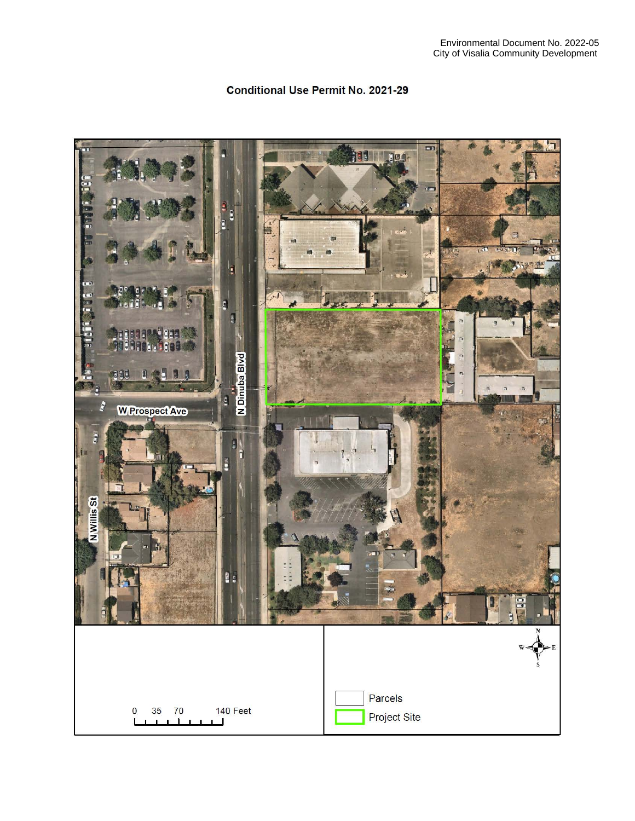